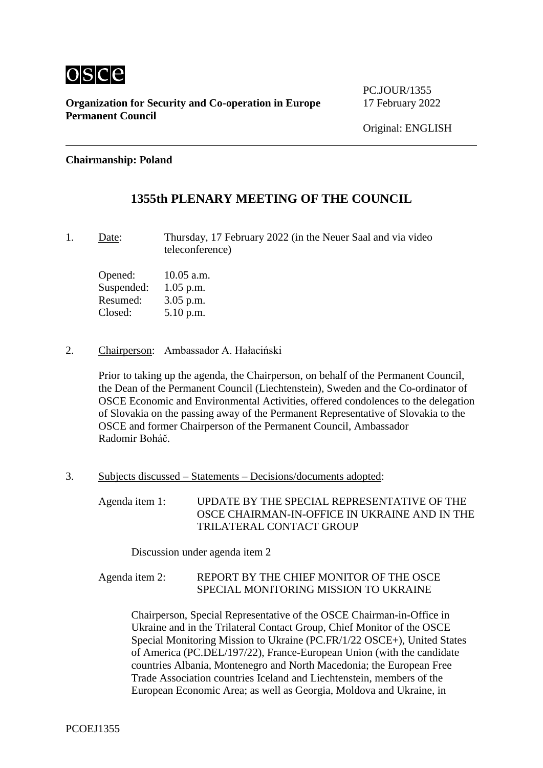

PC.JOUR/1355

### **Chairmanship: Poland**

## **1355th PLENARY MEETING OF THE COUNCIL**

1. Date: Thursday, 17 February 2022 (in the Neuer Saal and via video teleconference)

Opened: 10.05 a.m. Suspended: 1.05 p.m. Resumed: 3.05 p.m. Closed: 5.10 p.m.

2. Chairperson: Ambassador A. Hałaciński

Prior to taking up the agenda, the Chairperson, on behalf of the Permanent Council, the Dean of the Permanent Council (Liechtenstein), Sweden and the Co-ordinator of OSCE Economic and Environmental Activities, offered condolences to the delegation of Slovakia on the passing away of the Permanent Representative of Slovakia to the OSCE and former Chairperson of the Permanent Council, Ambassador Radomir Boháč.

3. Subjects discussed – Statements – Decisions/documents adopted:

Agenda item 1: UPDATE BY THE SPECIAL REPRESENTATIVE OF THE OSCE CHAIRMAN-IN-OFFICE IN UKRAINE AND IN THE TRILATERAL CONTACT GROUP

Discussion under agenda item 2

### Agenda item 2: REPORT BY THE CHIEF MONITOR OF THE OSCE SPECIAL MONITORING MISSION TO UKRAINE

Chairperson, Special Representative of the OSCE Chairman-in-Office in Ukraine and in the Trilateral Contact Group, Chief Monitor of the OSCE Special Monitoring Mission to Ukraine (PC.FR/1/22 OSCE+), United States of America (PC.DEL/197/22), France-European Union (with the candidate countries Albania, Montenegro and North Macedonia; the European Free Trade Association countries Iceland and Liechtenstein, members of the European Economic Area; as well as Georgia, Moldova and Ukraine, in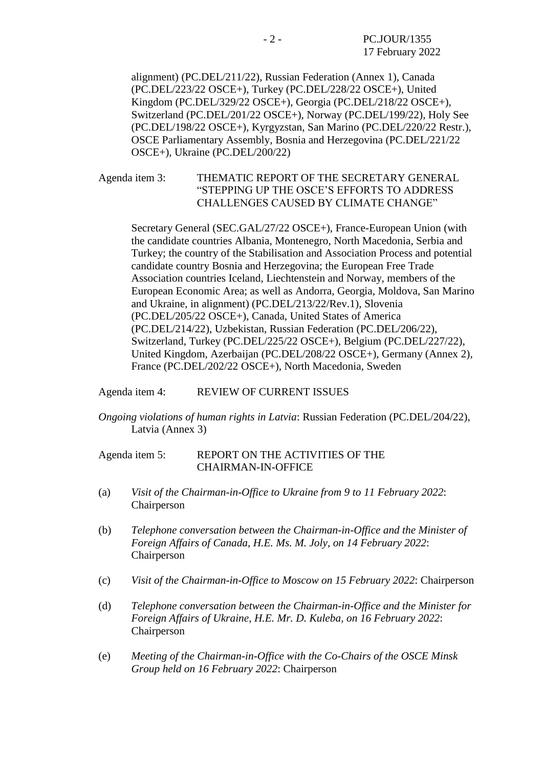alignment) (PC.DEL/211/22), Russian Federation (Annex 1), Canada (PC.DEL/223/22 OSCE+), Turkey (PC.DEL/228/22 OSCE+), United Kingdom (PC.DEL/329/22 OSCE+), Georgia (PC.DEL/218/22 OSCE+), Switzerland (PC.DEL/201/22 OSCE+), Norway (PC.DEL/199/22), Holy See (PC.DEL/198/22 OSCE+), Kyrgyzstan, San Marino (PC.DEL/220/22 Restr.), OSCE Parliamentary Assembly, Bosnia and Herzegovina (PC.DEL/221/22 OSCE+), Ukraine (PC.DEL/200/22)

Agenda item 3: THEMATIC REPORT OF THE SECRETARY GENERAL "STEPPING UP THE OSCE'S EFFORTS TO ADDRESS CHALLENGES CAUSED BY CLIMATE CHANGE"

Secretary General (SEC.GAL/27/22 OSCE+), France-European Union (with the candidate countries Albania, Montenegro, North Macedonia, Serbia and Turkey; the country of the Stabilisation and Association Process and potential candidate country Bosnia and Herzegovina; the European Free Trade Association countries Iceland, Liechtenstein and Norway, members of the European Economic Area; as well as Andorra, Georgia, Moldova, San Marino and Ukraine, in alignment) (PC.DEL/213/22/Rev.1), Slovenia (PC.DEL/205/22 OSCE+), Canada, United States of America (PC.DEL/214/22), Uzbekistan, Russian Federation (PC.DEL/206/22), Switzerland, Turkey (PC.DEL/225/22 OSCE+), Belgium (PC.DEL/227/22), United Kingdom, Azerbaijan (PC.DEL/208/22 OSCE+), Germany (Annex 2), France (PC.DEL/202/22 OSCE+), North Macedonia, Sweden

#### Agenda item 4: REVIEW OF CURRENT ISSUES

*Ongoing violations of human rights in Latvia*: Russian Federation (PC.DEL/204/22), Latvia (Annex 3)

### Agenda item 5: REPORT ON THE ACTIVITIES OF THE CHAIRMAN-IN-OFFICE

- (a) *Visit of the Chairman-in-Office to Ukraine from 9 to 11 February 2022*: Chairperson
- (b) *Telephone conversation between the Chairman-in-Office and the Minister of Foreign Affairs of Canada, H.E. Ms. M. Joly, on 14 February 2022*: Chairperson
- (c) *Visit of the Chairman-in-Office to Moscow on 15 February 2022*: Chairperson
- (d) *Telephone conversation between the Chairman-in-Office and the Minister for Foreign Affairs of Ukraine, H.E. Mr. D. Kuleba, on 16 February 2022*: Chairperson
- (e) *Meeting of the Chairman-in-Office with the Co-Chairs of the OSCE Minsk Group held on 16 February 2022*: Chairperson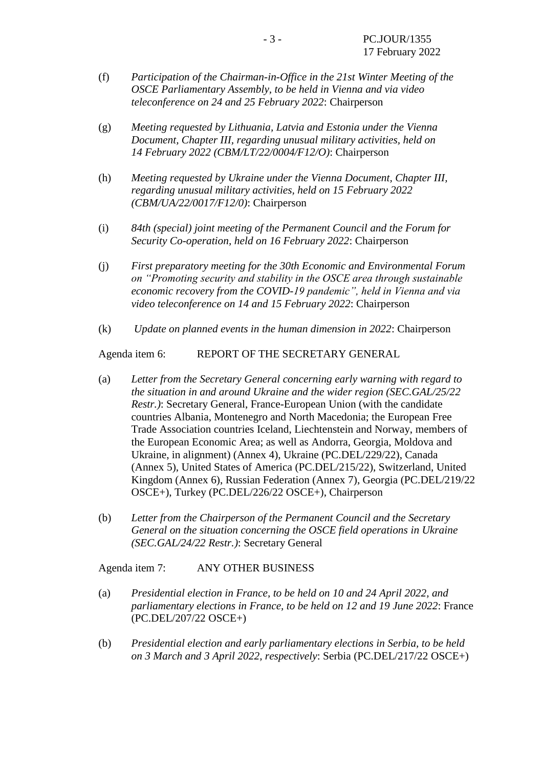- (f) *Participation of the Chairman-in-Office in the 21st Winter Meeting of the OSCE Parliamentary Assembly, to be held in Vienna and via video teleconference on 24 and 25 February 2022*: Chairperson
- (g) *Meeting requested by Lithuania, Latvia and Estonia under the Vienna Document, Chapter III, regarding unusual military activities, held on 14 February 2022 (CBM/LT/22/0004/F12/O)*: Chairperson
- (h) *Meeting requested by Ukraine under the Vienna Document, Chapter III, regarding unusual military activities, held on 15 February 2022 (CBM/UA/22/0017/F12/0)*: Chairperson
- (i) *84th (special) joint meeting of the Permanent Council and the Forum for Security Co-operation, held on 16 February 2022*: Chairperson
- (j) *First preparatory meeting for the 30th Economic and Environmental Forum on "Promoting security and stability in the OSCE area through sustainable economic recovery from the COVID-19 pandemic", held in Vienna and via video teleconference on 14 and 15 February 2022*: Chairperson
- (k) *Update on planned events in the human dimension in 2022*: Chairperson

Agenda item 6: REPORT OF THE SECRETARY GENERAL

- (a) *Letter from the Secretary General concerning early warning with regard to the situation in and around Ukraine and the wider region (SEC.GAL/25/22 Restr.)*: Secretary General, France-European Union (with the candidate countries Albania, Montenegro and North Macedonia; the European Free Trade Association countries Iceland, Liechtenstein and Norway, members of the European Economic Area; as well as Andorra, Georgia, Moldova and Ukraine, in alignment) (Annex 4), Ukraine (PC.DEL/229/22), Canada (Annex 5), United States of America (PC.DEL/215/22), Switzerland, United Kingdom (Annex 6), Russian Federation (Annex 7), Georgia (PC.DEL/219/22 OSCE+), Turkey (PC.DEL/226/22 OSCE+), Chairperson
- (b) *Letter from the Chairperson of the Permanent Council and the Secretary General on the situation concerning the OSCE field operations in Ukraine (SEC.GAL/24/22 Restr.)*: Secretary General

Agenda item 7: ANY OTHER BUSINESS

- (a) *Presidential election in France, to be held on 10 and 24 April 2022, and parliamentary elections in France, to be held on 12 and 19 June 2022*: France (PC.DEL/207/22 OSCE+)
- (b) *Presidential election and early parliamentary elections in Serbia, to be held on 3 March and 3 April 2022, respectively*: Serbia (PC.DEL/217/22 OSCE+)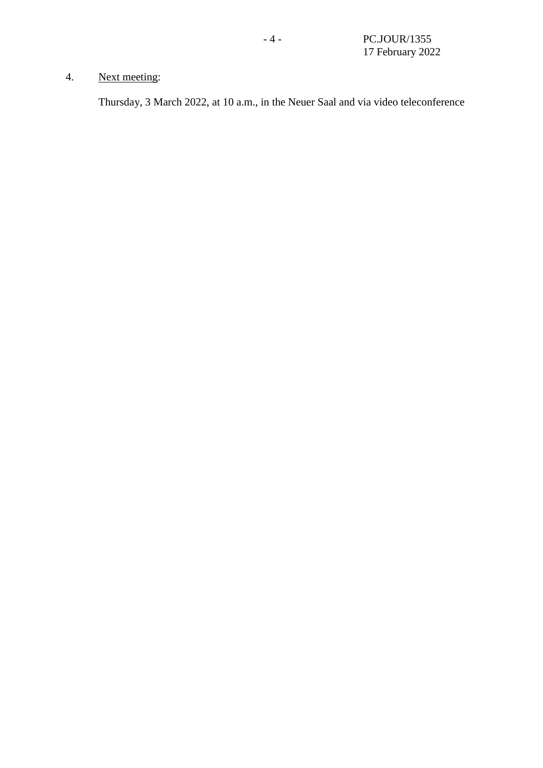# 4. Next meeting:

Thursday, 3 March 2022, at 10 a.m., in the Neuer Saal and via video teleconference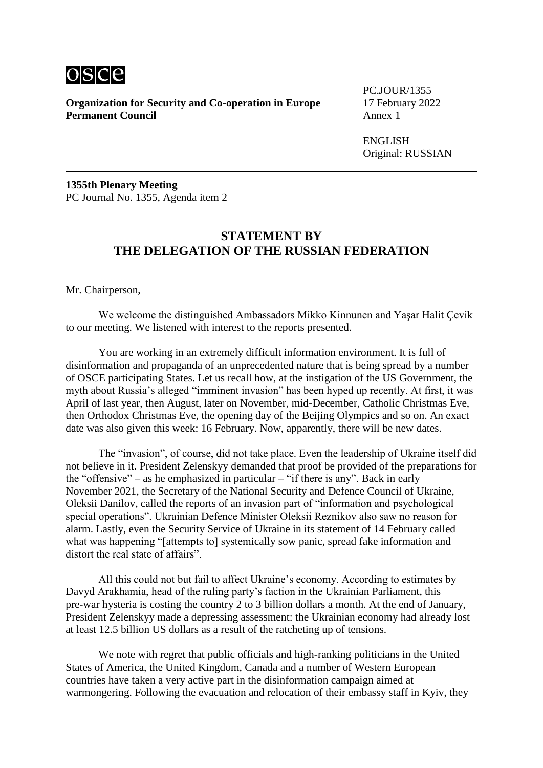

PC.JOUR/1355

ENGLISH Original: RUSSIAN

**1355th Plenary Meeting** PC Journal No. 1355, Agenda item 2

### **STATEMENT BY THE DELEGATION OF THE RUSSIAN FEDERATION**

Mr. Chairperson,

We welcome the distinguished Ambassadors Mikko Kinnunen and Yaşar Halit Çevik to our meeting. We listened with interest to the reports presented.

You are working in an extremely difficult information environment. It is full of disinformation and propaganda of an unprecedented nature that is being spread by a number of OSCE participating States. Let us recall how, at the instigation of the US Government, the myth about Russia's alleged "imminent invasion" has been hyped up recently. At first, it was April of last year, then August, later on November, mid-December, Catholic Christmas Eve, then Orthodox Christmas Eve, the opening day of the Beijing Olympics and so on. An exact date was also given this week: 16 February. Now, apparently, there will be new dates.

The "invasion", of course, did not take place. Even the leadership of Ukraine itself did not believe in it. President Zelenskyy demanded that proof be provided of the preparations for the "offensive" – as he emphasized in particular – "if there is any". Back in early November 2021, the Secretary of the National Security and Defence Council of Ukraine, Oleksii Danilov, called the reports of an invasion part of "information and psychological special operations". Ukrainian Defence Minister Oleksii Reznikov also saw no reason for alarm. Lastly, even the Security Service of Ukraine in its statement of 14 February called what was happening "[attempts to] systemically sow panic, spread fake information and distort the real state of affairs".

All this could not but fail to affect Ukraine's economy. According to estimates by Davyd Arakhamia, head of the ruling party's faction in the Ukrainian Parliament, this pre-war hysteria is costing the country 2 to 3 billion dollars a month. At the end of January, President Zelenskyy made a depressing assessment: the Ukrainian economy had already lost at least 12.5 billion US dollars as a result of the ratcheting up of tensions.

We note with regret that public officials and high-ranking politicians in the United States of America, the United Kingdom, Canada and a number of Western European countries have taken a very active part in the disinformation campaign aimed at warmongering. Following the evacuation and relocation of their embassy staff in Kyiv, they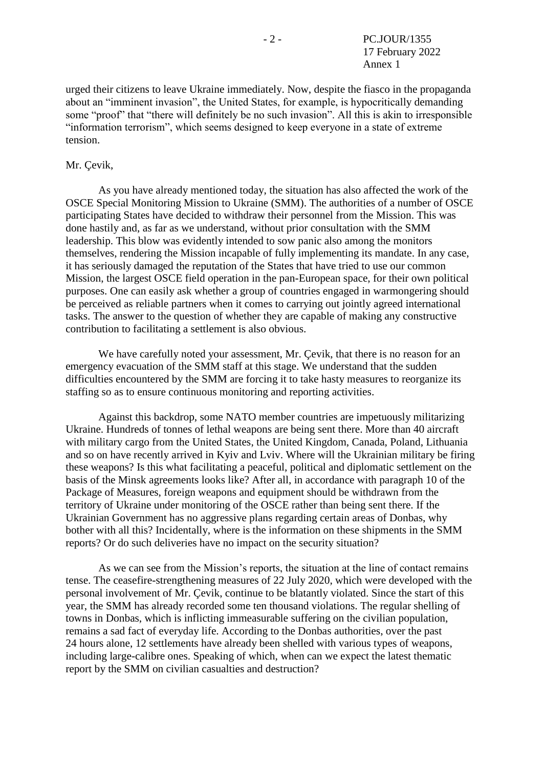urged their citizens to leave Ukraine immediately. Now, despite the fiasco in the propaganda about an "imminent invasion", the United States, for example, is hypocritically demanding some "proof" that "there will definitely be no such invasion". All this is akin to irresponsible "information terrorism", which seems designed to keep everyone in a state of extreme tension.

#### Mr. Çevik,

As you have already mentioned today, the situation has also affected the work of the OSCE Special Monitoring Mission to Ukraine (SMM). The authorities of a number of OSCE participating States have decided to withdraw their personnel from the Mission. This was done hastily and, as far as we understand, without prior consultation with the SMM leadership. This blow was evidently intended to sow panic also among the monitors themselves, rendering the Mission incapable of fully implementing its mandate. In any case, it has seriously damaged the reputation of the States that have tried to use our common Mission, the largest OSCE field operation in the pan-European space, for their own political purposes. One can easily ask whether a group of countries engaged in warmongering should be perceived as reliable partners when it comes to carrying out jointly agreed international tasks. The answer to the question of whether they are capable of making any constructive contribution to facilitating a settlement is also obvious.

We have carefully noted your assessment, Mr. Çevik, that there is no reason for an emergency evacuation of the SMM staff at this stage. We understand that the sudden difficulties encountered by the SMM are forcing it to take hasty measures to reorganize its staffing so as to ensure continuous monitoring and reporting activities.

Against this backdrop, some NATO member countries are impetuously militarizing Ukraine. Hundreds of tonnes of lethal weapons are being sent there. More than 40 aircraft with military cargo from the United States, the United Kingdom, Canada, Poland, Lithuania and so on have recently arrived in Kyiv and Lviv. Where will the Ukrainian military be firing these weapons? Is this what facilitating a peaceful, political and diplomatic settlement on the basis of the Minsk agreements looks like? After all, in accordance with paragraph 10 of the Package of Measures, foreign weapons and equipment should be withdrawn from the territory of Ukraine under monitoring of the OSCE rather than being sent there. If the Ukrainian Government has no aggressive plans regarding certain areas of Donbas, why bother with all this? Incidentally, where is the information on these shipments in the SMM reports? Or do such deliveries have no impact on the security situation?

As we can see from the Mission's reports, the situation at the line of contact remains tense. The ceasefire-strengthening measures of 22 July 2020, which were developed with the personal involvement of Mr. Çevik, continue to be blatantly violated. Since the start of this year, the SMM has already recorded some ten thousand violations. The regular shelling of towns in Donbas, which is inflicting immeasurable suffering on the civilian population, remains a sad fact of everyday life. According to the Donbas authorities, over the past 24 hours alone, 12 settlements have already been shelled with various types of weapons, including large-calibre ones. Speaking of which, when can we expect the latest thematic report by the SMM on civilian casualties and destruction?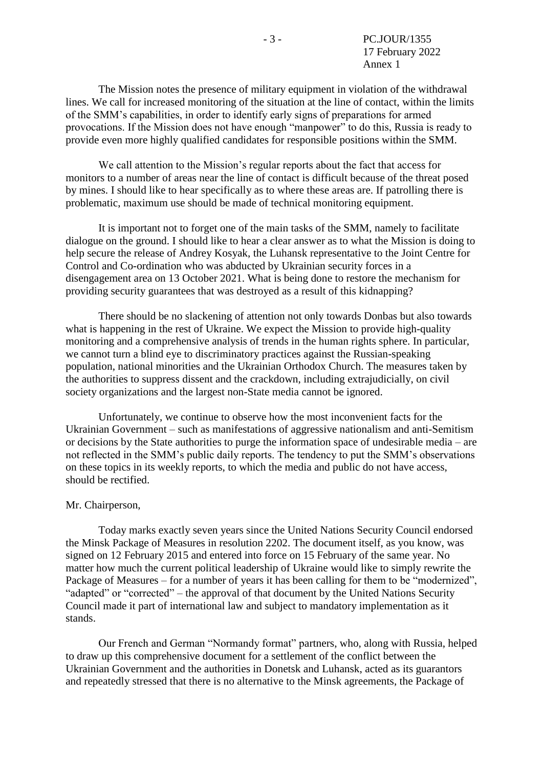The Mission notes the presence of military equipment in violation of the withdrawal lines. We call for increased monitoring of the situation at the line of contact, within the limits of the SMM's capabilities, in order to identify early signs of preparations for armed provocations. If the Mission does not have enough "manpower" to do this, Russia is ready to provide even more highly qualified candidates for responsible positions within the SMM.

We call attention to the Mission's regular reports about the fact that access for monitors to a number of areas near the line of contact is difficult because of the threat posed by mines. I should like to hear specifically as to where these areas are. If patrolling there is problematic, maximum use should be made of technical monitoring equipment.

It is important not to forget one of the main tasks of the SMM, namely to facilitate dialogue on the ground. I should like to hear a clear answer as to what the Mission is doing to help secure the release of Andrey Kosyak, the Luhansk representative to the Joint Centre for Control and Co-ordination who was abducted by Ukrainian security forces in a disengagement area on 13 October 2021. What is being done to restore the mechanism for providing security guarantees that was destroyed as a result of this kidnapping?

There should be no slackening of attention not only towards Donbas but also towards what is happening in the rest of Ukraine. We expect the Mission to provide high-quality monitoring and a comprehensive analysis of trends in the human rights sphere. In particular, we cannot turn a blind eye to discriminatory practices against the Russian-speaking population, national minorities and the Ukrainian Orthodox Church. The measures taken by the authorities to suppress dissent and the crackdown, including extrajudicially, on civil society organizations and the largest non-State media cannot be ignored.

Unfortunately, we continue to observe how the most inconvenient facts for the Ukrainian Government – such as manifestations of aggressive nationalism and anti-Semitism or decisions by the State authorities to purge the information space of undesirable media – are not reflected in the SMM's public daily reports. The tendency to put the SMM's observations on these topics in its weekly reports, to which the media and public do not have access, should be rectified.

#### Mr. Chairperson,

Today marks exactly seven years since the United Nations Security Council endorsed the Minsk Package of Measures in resolution 2202. The document itself, as you know, was signed on 12 February 2015 and entered into force on 15 February of the same year. No matter how much the current political leadership of Ukraine would like to simply rewrite the Package of Measures – for a number of years it has been calling for them to be "modernized", "adapted" or "corrected" – the approval of that document by the United Nations Security Council made it part of international law and subject to mandatory implementation as it stands.

Our French and German "Normandy format" partners, who, along with Russia, helped to draw up this comprehensive document for a settlement of the conflict between the Ukrainian Government and the authorities in Donetsk and Luhansk, acted as its guarantors and repeatedly stressed that there is no alternative to the Minsk agreements, the Package of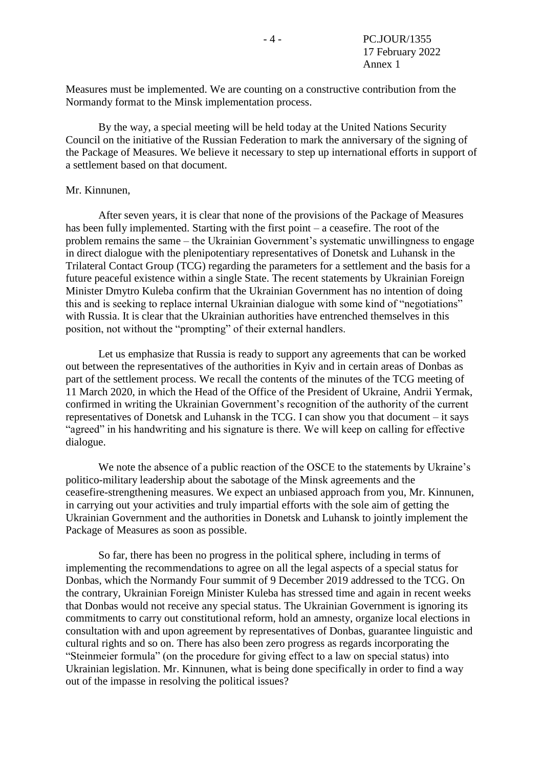Measures must be implemented. We are counting on a constructive contribution from the Normandy format to the Minsk implementation process.

By the way, a special meeting will be held today at the United Nations Security Council on the initiative of the Russian Federation to mark the anniversary of the signing of the Package of Measures. We believe it necessary to step up international efforts in support of a settlement based on that document.

#### Mr. Kinnunen,

After seven years, it is clear that none of the provisions of the Package of Measures has been fully implemented. Starting with the first point – a ceasefire. The root of the problem remains the same – the Ukrainian Government's systematic unwillingness to engage in direct dialogue with the plenipotentiary representatives of Donetsk and Luhansk in the Trilateral Contact Group (TCG) regarding the parameters for a settlement and the basis for a future peaceful existence within a single State. The recent statements by Ukrainian Foreign Minister Dmytro Kuleba confirm that the Ukrainian Government has no intention of doing this and is seeking to replace internal Ukrainian dialogue with some kind of "negotiations" with Russia. It is clear that the Ukrainian authorities have entrenched themselves in this position, not without the "prompting" of their external handlers.

Let us emphasize that Russia is ready to support any agreements that can be worked out between the representatives of the authorities in Kyiv and in certain areas of Donbas as part of the settlement process. We recall the contents of the minutes of the TCG meeting of 11 March 2020, in which the Head of the Office of the President of Ukraine, Andrii Yermak, confirmed in writing the Ukrainian Government's recognition of the authority of the current representatives of Donetsk and Luhansk in the TCG. I can show you that document – it says "agreed" in his handwriting and his signature is there. We will keep on calling for effective dialogue.

We note the absence of a public reaction of the OSCE to the statements by Ukraine's politico-military leadership about the sabotage of the Minsk agreements and the ceasefire-strengthening measures. We expect an unbiased approach from you, Mr. Kinnunen, in carrying out your activities and truly impartial efforts with the sole aim of getting the Ukrainian Government and the authorities in Donetsk and Luhansk to jointly implement the Package of Measures as soon as possible.

So far, there has been no progress in the political sphere, including in terms of implementing the recommendations to agree on all the legal aspects of a special status for Donbas, which the Normandy Four summit of 9 December 2019 addressed to the TCG. On the contrary, Ukrainian Foreign Minister Kuleba has stressed time and again in recent weeks that Donbas would not receive any special status. The Ukrainian Government is ignoring its commitments to carry out constitutional reform, hold an amnesty, organize local elections in consultation with and upon agreement by representatives of Donbas, guarantee linguistic and cultural rights and so on. There has also been zero progress as regards incorporating the "Steinmeier formula" (on the procedure for giving effect to a law on special status) into Ukrainian legislation. Mr. Kinnunen, what is being done specifically in order to find a way out of the impasse in resolving the political issues?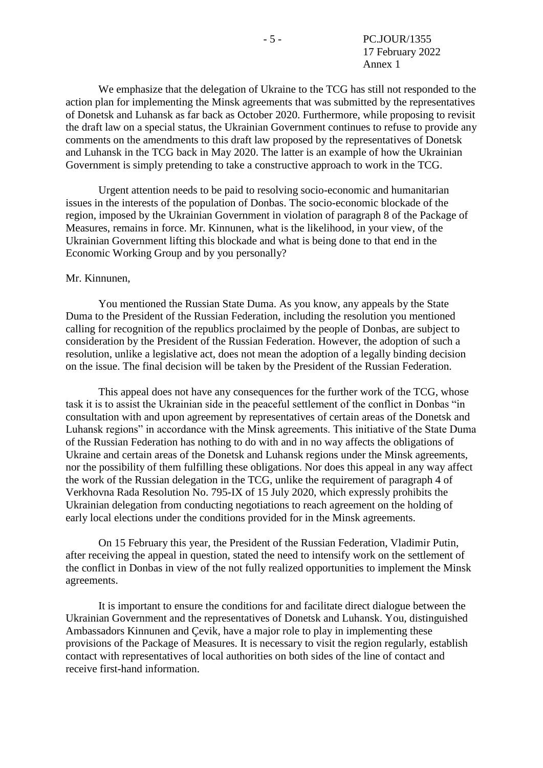We emphasize that the delegation of Ukraine to the TCG has still not responded to the action plan for implementing the Minsk agreements that was submitted by the representatives of Donetsk and Luhansk as far back as October 2020. Furthermore, while proposing to revisit the draft law on a special status, the Ukrainian Government continues to refuse to provide any comments on the amendments to this draft law proposed by the representatives of Donetsk and Luhansk in the TCG back in May 2020. The latter is an example of how the Ukrainian Government is simply pretending to take a constructive approach to work in the TCG.

Urgent attention needs to be paid to resolving socio-economic and humanitarian issues in the interests of the population of Donbas. The socio-economic blockade of the region, imposed by the Ukrainian Government in violation of paragraph 8 of the Package of Measures, remains in force. Mr. Kinnunen, what is the likelihood, in your view, of the Ukrainian Government lifting this blockade and what is being done to that end in the Economic Working Group and by you personally?

#### Mr. Kinnunen,

You mentioned the Russian State Duma. As you know, any appeals by the State Duma to the President of the Russian Federation, including the resolution you mentioned calling for recognition of the republics proclaimed by the people of Donbas, are subject to consideration by the President of the Russian Federation. However, the adoption of such a resolution, unlike a legislative act, does not mean the adoption of a legally binding decision on the issue. The final decision will be taken by the President of the Russian Federation.

This appeal does not have any consequences for the further work of the TCG, whose task it is to assist the Ukrainian side in the peaceful settlement of the conflict in Donbas "in consultation with and upon agreement by representatives of certain areas of the Donetsk and Luhansk regions" in accordance with the Minsk agreements. This initiative of the State Duma of the Russian Federation has nothing to do with and in no way affects the obligations of Ukraine and certain areas of the Donetsk and Luhansk regions under the Minsk agreements, nor the possibility of them fulfilling these obligations. Nor does this appeal in any way affect the work of the Russian delegation in the TCG, unlike the requirement of paragraph 4 of Verkhovna Rada Resolution No. 795-IX of 15 July 2020, which expressly prohibits the Ukrainian delegation from conducting negotiations to reach agreement on the holding of early local elections under the conditions provided for in the Minsk agreements.

On 15 February this year, the President of the Russian Federation, Vladimir Putin, after receiving the appeal in question, stated the need to intensify work on the settlement of the conflict in Donbas in view of the not fully realized opportunities to implement the Minsk agreements.

It is important to ensure the conditions for and facilitate direct dialogue between the Ukrainian Government and the representatives of Donetsk and Luhansk. You, distinguished Ambassadors Kinnunen and Çevik, have a major role to play in implementing these provisions of the Package of Measures. It is necessary to visit the region regularly, establish contact with representatives of local authorities on both sides of the line of contact and receive first-hand information.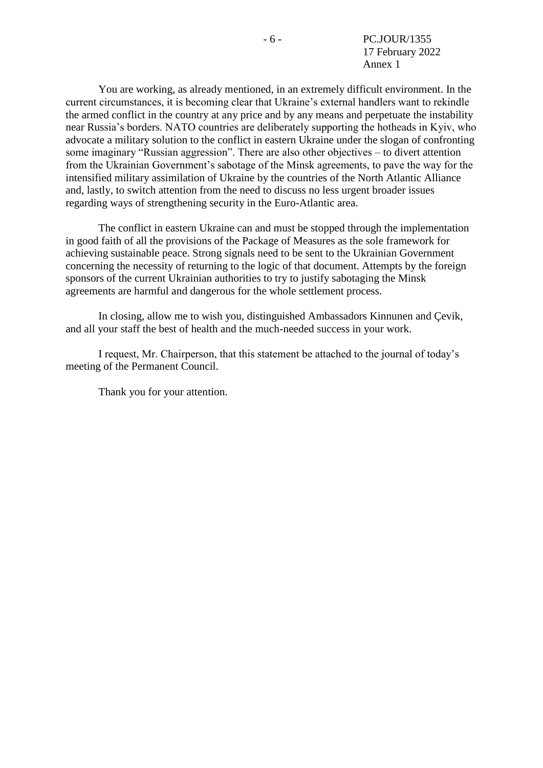You are working, as already mentioned, in an extremely difficult environment. In the current circumstances, it is becoming clear that Ukraine's external handlers want to rekindle the armed conflict in the country at any price and by any means and perpetuate the instability near Russia's borders. NATO countries are deliberately supporting the hotheads in Kyiv, who advocate a military solution to the conflict in eastern Ukraine under the slogan of confronting some imaginary "Russian aggression". There are also other objectives – to divert attention from the Ukrainian Government's sabotage of the Minsk agreements, to pave the way for the intensified military assimilation of Ukraine by the countries of the North Atlantic Alliance and, lastly, to switch attention from the need to discuss no less urgent broader issues regarding ways of strengthening security in the Euro-Atlantic area.

The conflict in eastern Ukraine can and must be stopped through the implementation in good faith of all the provisions of the Package of Measures as the sole framework for achieving sustainable peace. Strong signals need to be sent to the Ukrainian Government concerning the necessity of returning to the logic of that document. Attempts by the foreign sponsors of the current Ukrainian authorities to try to justify sabotaging the Minsk agreements are harmful and dangerous for the whole settlement process.

In closing, allow me to wish you, distinguished Ambassadors Kinnunen and Çevik, and all your staff the best of health and the much-needed success in your work.

I request, Mr. Chairperson, that this statement be attached to the journal of today's meeting of the Permanent Council.

Thank you for your attention.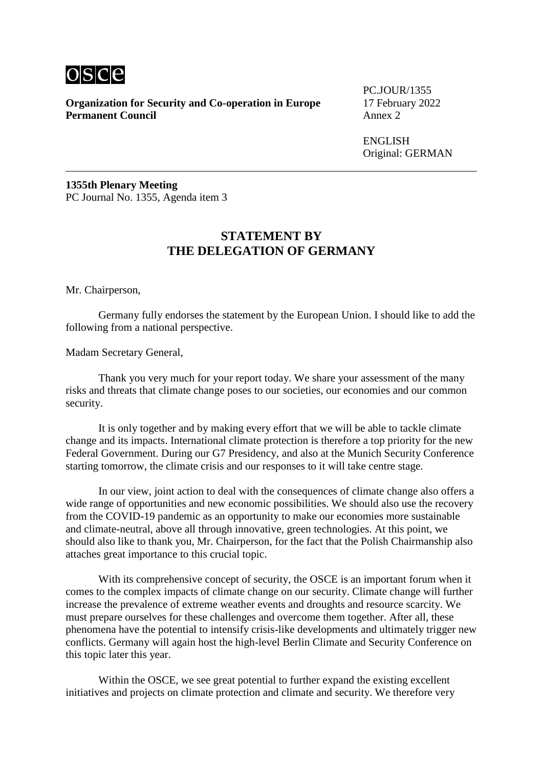

PC.JOUR/1355

ENGLISH Original: GERMAN

**1355th Plenary Meeting** PC Journal No. 1355, Agenda item 3

### **STATEMENT BY THE DELEGATION OF GERMANY**

Mr. Chairperson,

Germany fully endorses the statement by the European Union. I should like to add the following from a national perspective.

Madam Secretary General,

Thank you very much for your report today. We share your assessment of the many risks and threats that climate change poses to our societies, our economies and our common security.

It is only together and by making every effort that we will be able to tackle climate change and its impacts. International climate protection is therefore a top priority for the new Federal Government. During our G7 Presidency, and also at the Munich Security Conference starting tomorrow, the climate crisis and our responses to it will take centre stage.

In our view, joint action to deal with the consequences of climate change also offers a wide range of opportunities and new economic possibilities. We should also use the recovery from the COVID-19 pandemic as an opportunity to make our economies more sustainable and climate-neutral, above all through innovative, green technologies. At this point, we should also like to thank you, Mr. Chairperson, for the fact that the Polish Chairmanship also attaches great importance to this crucial topic.

With its comprehensive concept of security, the OSCE is an important forum when it comes to the complex impacts of climate change on our security. Climate change will further increase the prevalence of extreme weather events and droughts and resource scarcity. We must prepare ourselves for these challenges and overcome them together. After all, these phenomena have the potential to intensify crisis-like developments and ultimately trigger new conflicts. Germany will again host the high-level Berlin Climate and Security Conference on this topic later this year.

Within the OSCE, we see great potential to further expand the existing excellent initiatives and projects on climate protection and climate and security. We therefore very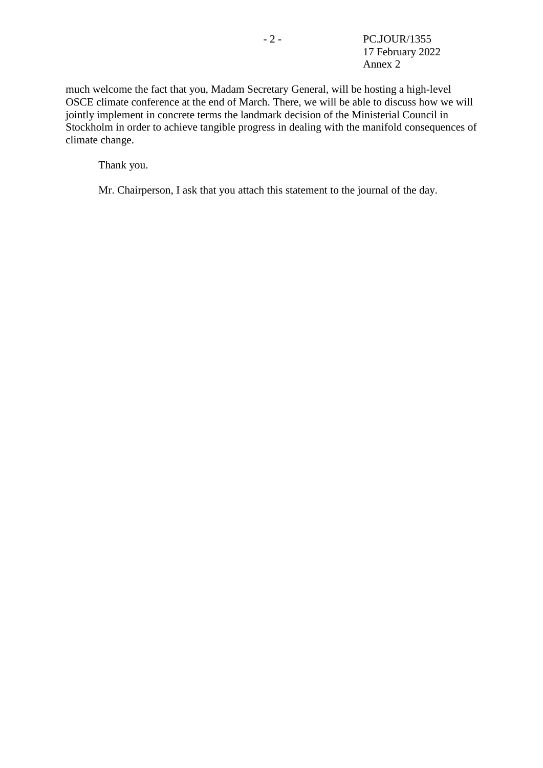much welcome the fact that you, Madam Secretary General, will be hosting a high-level OSCE climate conference at the end of March. There, we will be able to discuss how we will jointly implement in concrete terms the landmark decision of the Ministerial Council in Stockholm in order to achieve tangible progress in dealing with the manifold consequences of climate change.

Thank you.

Mr. Chairperson, I ask that you attach this statement to the journal of the day.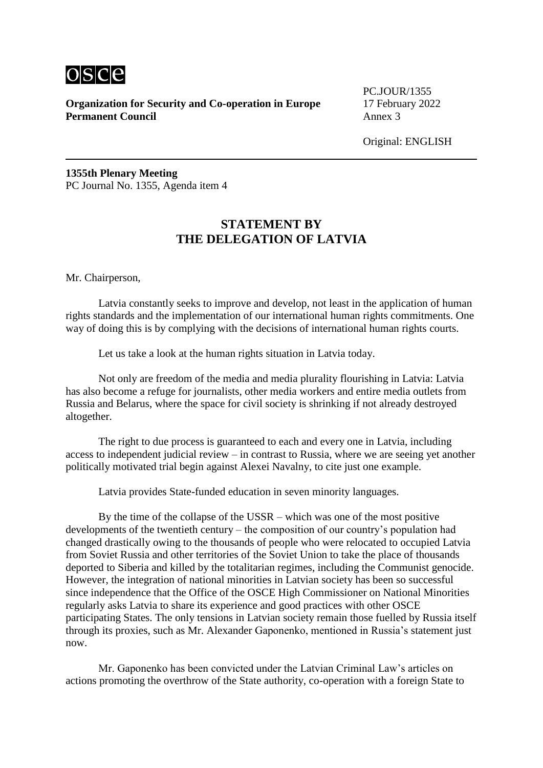

PC.JOUR/1355

Original: ENGLISH

**1355th Plenary Meeting** PC Journal No. 1355, Agenda item 4

## **STATEMENT BY THE DELEGATION OF LATVIA**

Mr. Chairperson,

Latvia constantly seeks to improve and develop, not least in the application of human rights standards and the implementation of our international human rights commitments. One way of doing this is by complying with the decisions of international human rights courts.

Let us take a look at the human rights situation in Latvia today.

Not only are freedom of the media and media plurality flourishing in Latvia: Latvia has also become a refuge for journalists, other media workers and entire media outlets from Russia and Belarus, where the space for civil society is shrinking if not already destroyed altogether.

The right to due process is guaranteed to each and every one in Latvia, including access to independent judicial review – in contrast to Russia, where we are seeing yet another politically motivated trial begin against Alexei Navalny, to cite just one example.

Latvia provides State-funded education in seven minority languages.

By the time of the collapse of the USSR – which was one of the most positive developments of the twentieth century – the composition of our country's population had changed drastically owing to the thousands of people who were relocated to occupied Latvia from Soviet Russia and other territories of the Soviet Union to take the place of thousands deported to Siberia and killed by the totalitarian regimes, including the Communist genocide. However, the integration of national minorities in Latvian society has been so successful since independence that the Office of the OSCE High Commissioner on National Minorities regularly asks Latvia to share its experience and good practices with other OSCE participating States. The only tensions in Latvian society remain those fuelled by Russia itself through its proxies, such as Mr. Alexander Gaponenko, mentioned in Russia's statement just now.

Mr. Gaponenko has been convicted under the Latvian Criminal Law's articles on actions promoting the overthrow of the State authority, co-operation with a foreign State to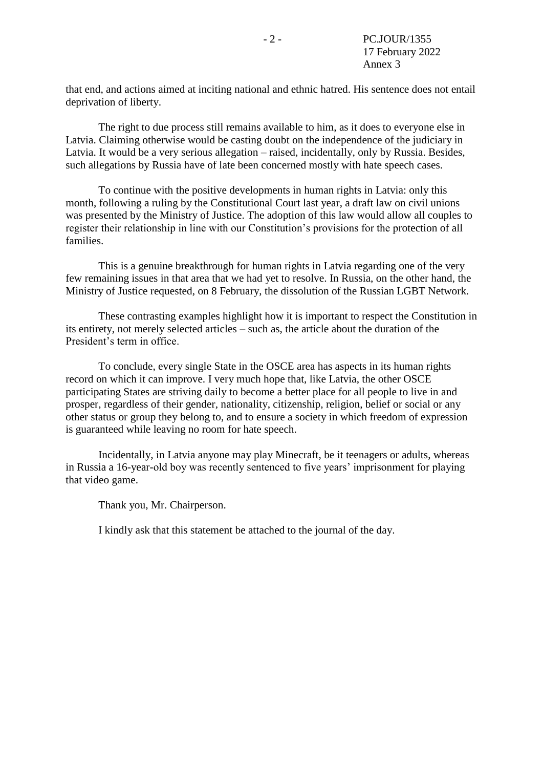that end, and actions aimed at inciting national and ethnic hatred. His sentence does not entail deprivation of liberty.

The right to due process still remains available to him, as it does to everyone else in Latvia. Claiming otherwise would be casting doubt on the independence of the judiciary in Latvia. It would be a very serious allegation – raised, incidentally, only by Russia. Besides, such allegations by Russia have of late been concerned mostly with hate speech cases.

To continue with the positive developments in human rights in Latvia: only this month, following a ruling by the Constitutional Court last year, a draft law on civil unions was presented by the Ministry of Justice. The adoption of this law would allow all couples to register their relationship in line with our Constitution's provisions for the protection of all families.

This is a genuine breakthrough for human rights in Latvia regarding one of the very few remaining issues in that area that we had yet to resolve. In Russia, on the other hand, the Ministry of Justice requested, on 8 February, the dissolution of the Russian LGBT Network.

These contrasting examples highlight how it is important to respect the Constitution in its entirety, not merely selected articles – such as, the article about the duration of the President's term in office.

To conclude, every single State in the OSCE area has aspects in its human rights record on which it can improve. I very much hope that, like Latvia, the other OSCE participating States are striving daily to become a better place for all people to live in and prosper, regardless of their gender, nationality, citizenship, religion, belief or social or any other status or group they belong to, and to ensure a society in which freedom of expression is guaranteed while leaving no room for hate speech.

Incidentally, in Latvia anyone may play Minecraft, be it teenagers or adults, whereas in Russia a 16-year-old boy was recently sentenced to five years' imprisonment for playing that video game.

Thank you, Mr. Chairperson.

I kindly ask that this statement be attached to the journal of the day.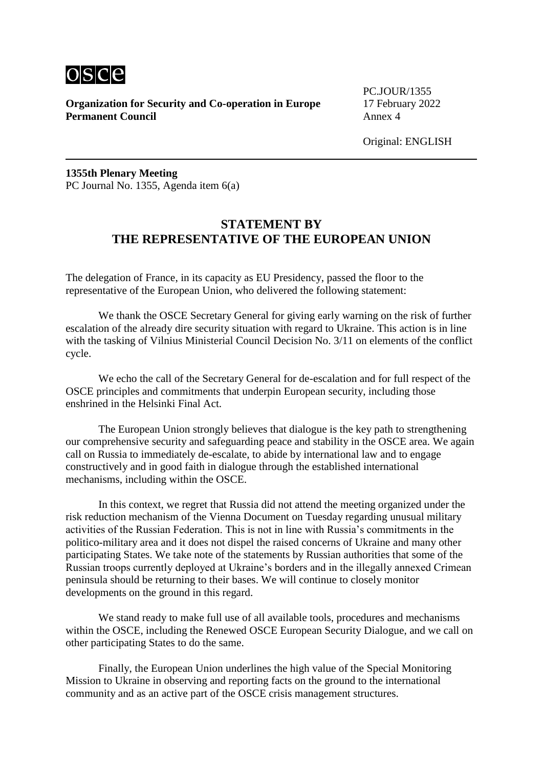

PC.JOUR/1355

Original: ENGLISH

**1355th Plenary Meeting** PC Journal No. 1355, Agenda item 6(a)

## **STATEMENT BY THE REPRESENTATIVE OF THE EUROPEAN UNION**

The delegation of France, in its capacity as EU Presidency, passed the floor to the representative of the European Union, who delivered the following statement:

We thank the OSCE Secretary General for giving early warning on the risk of further escalation of the already dire security situation with regard to Ukraine. This action is in line with the tasking of Vilnius Ministerial Council Decision No. 3/11 on elements of the conflict cycle.

We echo the call of the Secretary General for de-escalation and for full respect of the OSCE principles and commitments that underpin European security, including those enshrined in the Helsinki Final Act.

The European Union strongly believes that dialogue is the key path to strengthening our comprehensive security and safeguarding peace and stability in the OSCE area. We again call on Russia to immediately de-escalate, to abide by international law and to engage constructively and in good faith in dialogue through the established international mechanisms, including within the OSCE.

In this context, we regret that Russia did not attend the meeting organized under the risk reduction mechanism of the Vienna Document on Tuesday regarding unusual military activities of the Russian Federation. This is not in line with Russia's commitments in the politico-military area and it does not dispel the raised concerns of Ukraine and many other participating States. We take note of the statements by Russian authorities that some of the Russian troops currently deployed at Ukraine's borders and in the illegally annexed Crimean peninsula should be returning to their bases. We will continue to closely monitor developments on the ground in this regard.

We stand ready to make full use of all available tools, procedures and mechanisms within the OSCE, including the Renewed OSCE European Security Dialogue, and we call on other participating States to do the same.

Finally, the European Union underlines the high value of the Special Monitoring Mission to Ukraine in observing and reporting facts on the ground to the international community and as an active part of the OSCE crisis management structures.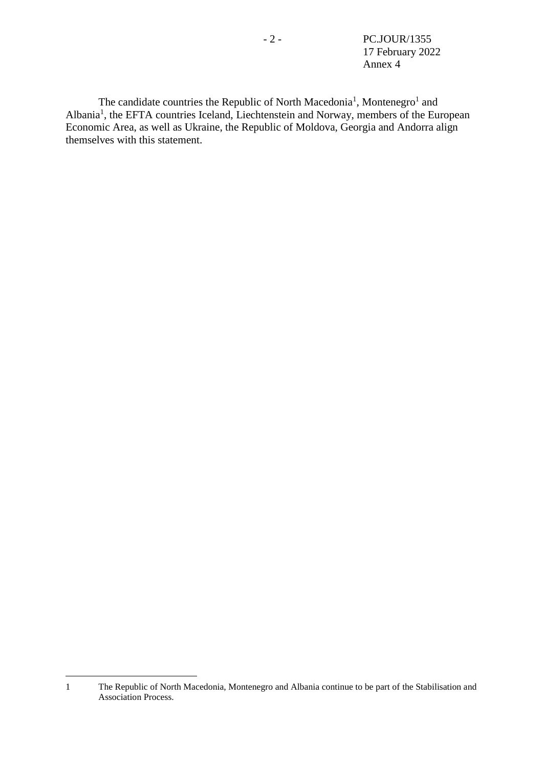<span id="page-15-0"></span>- 2 - PC.JOUR/1355 17 February 2022 Annex 4

The candidate countries the Republic of North Macedonia<sup>[1](#page-15-0)</sup>, Montenegro<sup>1</sup> and Albania<sup>[1](#page-15-0)</sup>, the EFTA countries Iceland, Liechtenstein and Norway, members of the European Economic Area, as well as Ukraine, the Republic of Moldova, Georgia and Andorra align themselves with this statement.

1

<sup>1</sup> The Republic of North Macedonia, Montenegro and Albania continue to be part of the Stabilisation and Association Process.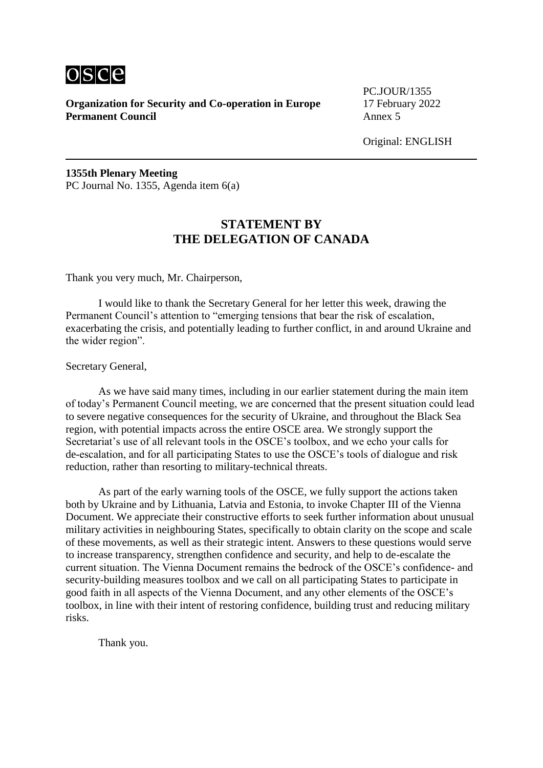

PC.JOUR/1355

Original: ENGLISH

**1355th Plenary Meeting** PC Journal No. 1355, Agenda item 6(a)

## **STATEMENT BY THE DELEGATION OF CANADA**

Thank you very much, Mr. Chairperson,

I would like to thank the Secretary General for her letter this week, drawing the Permanent Council's attention to "emerging tensions that bear the risk of escalation, exacerbating the crisis, and potentially leading to further conflict, in and around Ukraine and the wider region".

Secretary General,

As we have said many times, including in our earlier statement during the main item of today's Permanent Council meeting, we are concerned that the present situation could lead to severe negative consequences for the security of Ukraine, and throughout the Black Sea region, with potential impacts across the entire OSCE area. We strongly support the Secretariat's use of all relevant tools in the OSCE's toolbox, and we echo your calls for de-escalation, and for all participating States to use the OSCE's tools of dialogue and risk reduction, rather than resorting to military-technical threats.

As part of the early warning tools of the OSCE, we fully support the actions taken both by Ukraine and by Lithuania, Latvia and Estonia, to invoke Chapter III of the Vienna Document. We appreciate their constructive efforts to seek further information about unusual military activities in neighbouring States, specifically to obtain clarity on the scope and scale of these movements, as well as their strategic intent. Answers to these questions would serve to increase transparency, strengthen confidence and security, and help to de-escalate the current situation. The Vienna Document remains the bedrock of the OSCE's confidence- and security-building measures toolbox and we call on all participating States to participate in good faith in all aspects of the Vienna Document, and any other elements of the OSCE's toolbox, in line with their intent of restoring confidence, building trust and reducing military risks.

Thank you.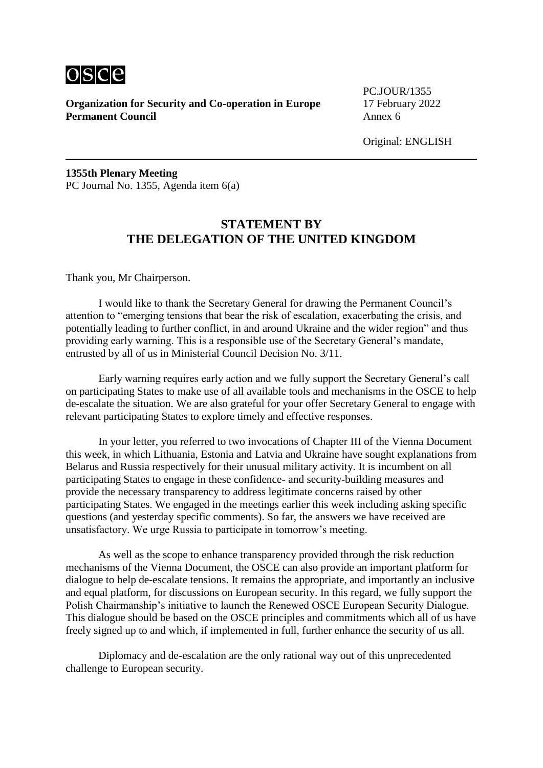

PC.JOUR/1355

Original: ENGLISH

**1355th Plenary Meeting** PC Journal No. 1355, Agenda item 6(a)

## **STATEMENT BY THE DELEGATION OF THE UNITED KINGDOM**

Thank you, Mr Chairperson.

I would like to thank the Secretary General for drawing the Permanent Council's attention to "emerging tensions that bear the risk of escalation, exacerbating the crisis, and potentially leading to further conflict, in and around Ukraine and the wider region" and thus providing early warning. This is a responsible use of the Secretary General's mandate, entrusted by all of us in Ministerial Council Decision No. 3/11.

Early warning requires early action and we fully support the Secretary General's call on participating States to make use of all available tools and mechanisms in the OSCE to help de-escalate the situation. We are also grateful for your offer Secretary General to engage with relevant participating States to explore timely and effective responses.

In your letter, you referred to two invocations of Chapter III of the Vienna Document this week, in which Lithuania, Estonia and Latvia and Ukraine have sought explanations from Belarus and Russia respectively for their unusual military activity. It is incumbent on all participating States to engage in these confidence- and security-building measures and provide the necessary transparency to address legitimate concerns raised by other participating States. We engaged in the meetings earlier this week including asking specific questions (and yesterday specific comments). So far, the answers we have received are unsatisfactory. We urge Russia to participate in tomorrow's meeting.

As well as the scope to enhance transparency provided through the risk reduction mechanisms of the Vienna Document, the OSCE can also provide an important platform for dialogue to help de-escalate tensions. It remains the appropriate, and importantly an inclusive and equal platform, for discussions on European security. In this regard, we fully support the Polish Chairmanship's initiative to launch the Renewed OSCE European Security Dialogue. This dialogue should be based on the OSCE principles and commitments which all of us have freely signed up to and which, if implemented in full, further enhance the security of us all.

Diplomacy and de-escalation are the only rational way out of this unprecedented challenge to European security.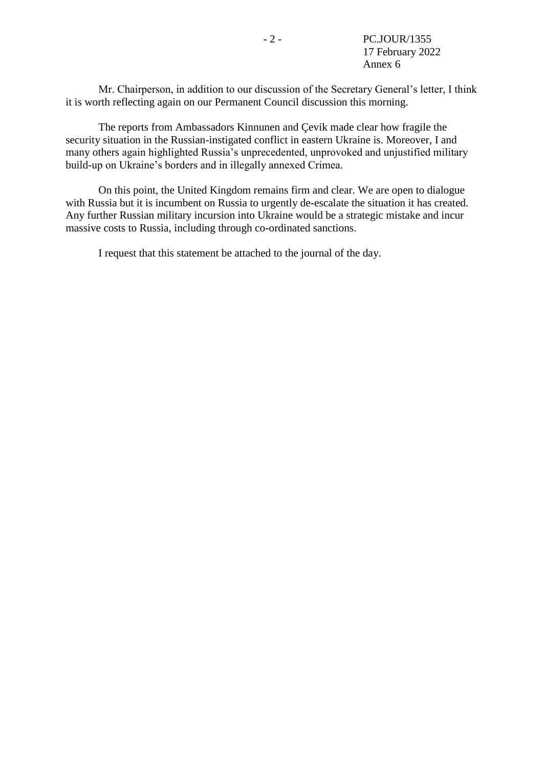Mr. Chairperson, in addition to our discussion of the Secretary General's letter, I think it is worth reflecting again on our Permanent Council discussion this morning.

The reports from Ambassadors Kinnunen and Çevik made clear how fragile the security situation in the Russian-instigated conflict in eastern Ukraine is. Moreover, I and many others again highlighted Russia's unprecedented, unprovoked and unjustified military build-up on Ukraine's borders and in illegally annexed Crimea.

On this point, the United Kingdom remains firm and clear. We are open to dialogue with Russia but it is incumbent on Russia to urgently de-escalate the situation it has created. Any further Russian military incursion into Ukraine would be a strategic mistake and incur massive costs to Russia, including through co-ordinated sanctions.

I request that this statement be attached to the journal of the day.